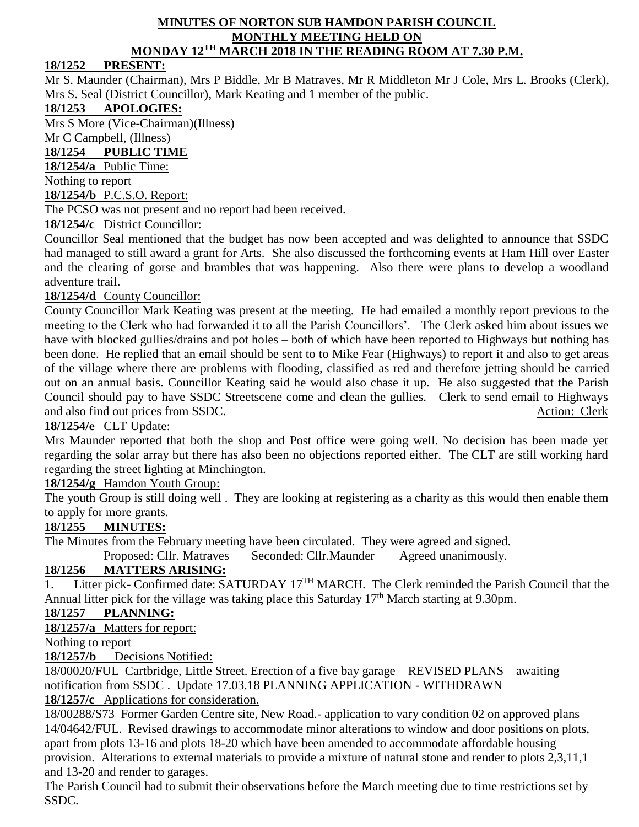#### **MINUTES OF NORTON SUB HAMDON PARISH COUNCIL MONTHLY MEETING HELD ON MONDAY 12TH MARCH 2018 IN THE READING ROOM AT 7.30 P.M.**

# **18/1252 PRESENT:**

Mr S. Maunder (Chairman), Mrs P Biddle, Mr B Matraves, Mr R Middleton Mr J Cole, Mrs L. Brooks (Clerk), Mrs S. Seal (District Councillor), Mark Keating and 1 member of the public.

# **18/1253 APOLOGIES:**

Mrs S More (Vice-Chairman)(Illness)

Mr C Campbell, (Illness)

### **18/1254 PUBLIC TIME**

**18/1254/a** Public Time:

Nothing to report

#### **18/1254/b** P.C.S.O. Report:

The PCSO was not present and no report had been received.

### **18/1254/c** District Councillor:

Councillor Seal mentioned that the budget has now been accepted and was delighted to announce that SSDC had managed to still award a grant for Arts. She also discussed the forthcoming events at Ham Hill over Easter and the clearing of gorse and brambles that was happening. Also there were plans to develop a woodland adventure trail.

### **18/1254/d** County Councillor:

County Councillor Mark Keating was present at the meeting. He had emailed a monthly report previous to the meeting to the Clerk who had forwarded it to all the Parish Councillors'. The Clerk asked him about issues we have with blocked gullies/drains and pot holes – both of which have been reported to Highways but nothing has been done. He replied that an email should be sent to to Mike Fear (Highways) to report it and also to get areas of the village where there are problems with flooding, classified as red and therefore jetting should be carried out on an annual basis. Councillor Keating said he would also chase it up. He also suggested that the Parish Council should pay to have SSDC Streetscene come and clean the gullies. Clerk to send email to Highways and also find out prices from SSDC. Action: Clerk

### **18/1254/e** CLT Update:

Mrs Maunder reported that both the shop and Post office were going well. No decision has been made yet regarding the solar array but there has also been no objections reported either. The CLT are still working hard regarding the street lighting at Minchington.

### **18/1254/g** Hamdon Youth Group:

The youth Group is still doing well . They are looking at registering as a charity as this would then enable them to apply for more grants.

### **18/1255 MINUTES:**

The Minutes from the February meeting have been circulated. They were agreed and signed.

Proposed: Cllr. Matraves Seconded: Cllr.Maunder Agreed unanimously.

# **18/1256 MATTERS ARISING:**

1. Litter pick- Confirmed date: SATURDAY 17<sup>TH</sup> MARCH. The Clerk reminded the Parish Council that the Annual litter pick for the village was taking place this Saturday  $17<sup>th</sup>$  March starting at 9.30pm.

# **18/1257 PLANNING:**

**18/1257/a** Matters for report:

Nothing to report

**18/1257/b** Decisions Notified:

18/00020/FUL Cartbridge, Little Street. Erection of a five bay garage – REVISED PLANS – awaiting notification from SSDC . Update 17.03.18 PLANNING APPLICATION - WITHDRAWN **18/1257/c** Applications for consideration.

18/00288/S73 Former Garden Centre site, New Road.- application to vary condition 02 on approved plans 14/04642/FUL. Revised drawings to accommodate minor alterations to window and door positions on plots, apart from plots 13-16 and plots 18-20 which have been amended to accommodate affordable housing provision. Alterations to external materials to provide a mixture of natural stone and render to plots 2,3,11,1 and 13-20 and render to garages.

The Parish Council had to submit their observations before the March meeting due to time restrictions set by SSDC.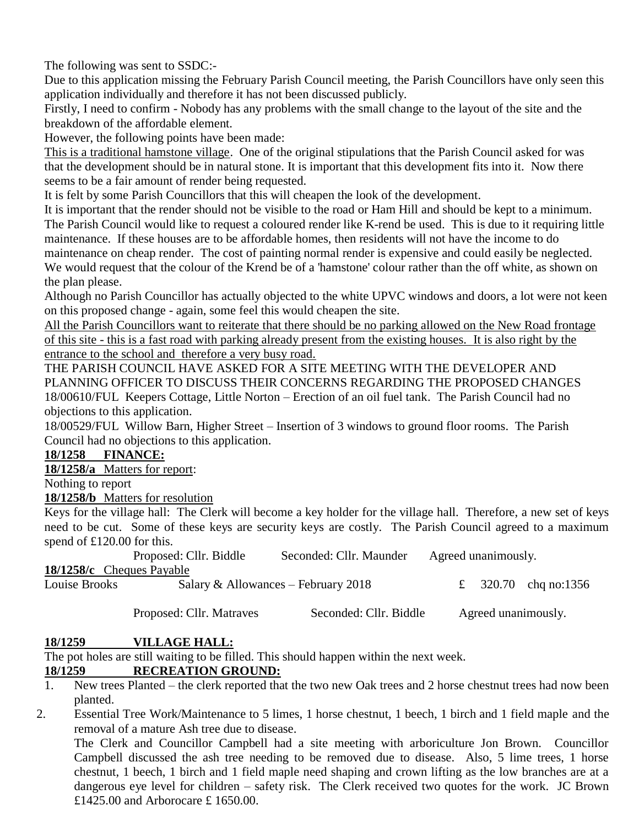The following was sent to SSDC:-

Due to this application missing the February Parish Council meeting, the Parish Councillors have only seen this application individually and therefore it has not been discussed publicly.

Firstly, I need to confirm - Nobody has any problems with the small change to the layout of the site and the breakdown of the affordable element.

However, the following points have been made:

This is a traditional hamstone village. One of the original stipulations that the Parish Council asked for was that the development should be in natural stone. It is important that this development fits into it. Now there seems to be a fair amount of render being requested.

It is felt by some Parish Councillors that this will cheapen the look of the development.

It is important that the render should not be visible to the road or Ham Hill and should be kept to a minimum. The Parish Council would like to request a coloured render like K-rend be used. This is due to it requiring little maintenance. If these houses are to be affordable homes, then residents will not have the income to do maintenance on cheap render. The cost of painting normal render is expensive and could easily be neglected.

We would request that the colour of the Krend be of a 'hamstone' colour rather than the off white, as shown on the plan please.

Although no Parish Councillor has actually objected to the white UPVC windows and doors, a lot were not keen on this proposed change - again, some feel this would cheapen the site.

All the Parish Councillors want to reiterate that there should be no parking allowed on the New Road frontage of this site - this is a fast road with parking already present from the existing houses. It is also right by the entrance to the school and therefore a very busy road.

THE PARISH COUNCIL HAVE ASKED FOR A SITE MEETING WITH THE DEVELOPER AND PLANNING OFFICER TO DISCUSS THEIR CONCERNS REGARDING THE PROPOSED CHANGES 18/00610/FUL Keepers Cottage, Little Norton – Erection of an oil fuel tank. The Parish Council had no objections to this application.

18/00529/FUL Willow Barn, Higher Street – Insertion of 3 windows to ground floor rooms. The Parish Council had no objections to this application.

### **18/1258 FINANCE:**

**18/1258/a** Matters for report:

Nothing to report

**18/1258/b** Matters for resolution

Keys for the village hall: The Clerk will become a key holder for the village hall. Therefore, a new set of keys need to be cut. Some of these keys are security keys are costly. The Parish Council agreed to a maximum spend of £120.00 for this.

|               | Proposed: Cllr. Biddle<br>Seconded: Cllr. Maunder |                                     | Agreed unanimously. |  |                      |
|---------------|---------------------------------------------------|-------------------------------------|---------------------|--|----------------------|
|               | 18/1258/c Cheques Payable                         |                                     |                     |  |                      |
| Louise Brooks |                                                   | Salary & Allowances – February 2018 |                     |  | £ 320.70 chg no:1356 |
|               |                                                   |                                     |                     |  |                      |

Proposed: Cllr. Matraves Seconded: Cllr. Biddle Agreed unanimously.

# **18/1259 VILLAGE HALL:**

The pot holes are still waiting to be filled. This should happen within the next week.

# **18/1259 RECREATION GROUND:**

- 1. New trees Planted the clerk reported that the two new Oak trees and 2 horse chestnut trees had now been planted.
- 2. Essential Tree Work/Maintenance to 5 limes, 1 horse chestnut, 1 beech, 1 birch and 1 field maple and the removal of a mature Ash tree due to disease.

The Clerk and Councillor Campbell had a site meeting with arboriculture Jon Brown. Councillor Campbell discussed the ash tree needing to be removed due to disease. Also, 5 lime trees, 1 horse chestnut, 1 beech, 1 birch and 1 field maple need shaping and crown lifting as the low branches are at a dangerous eye level for children – safety risk. The Clerk received two quotes for the work. JC Brown £1425.00 and Arborocare £ 1650.00.